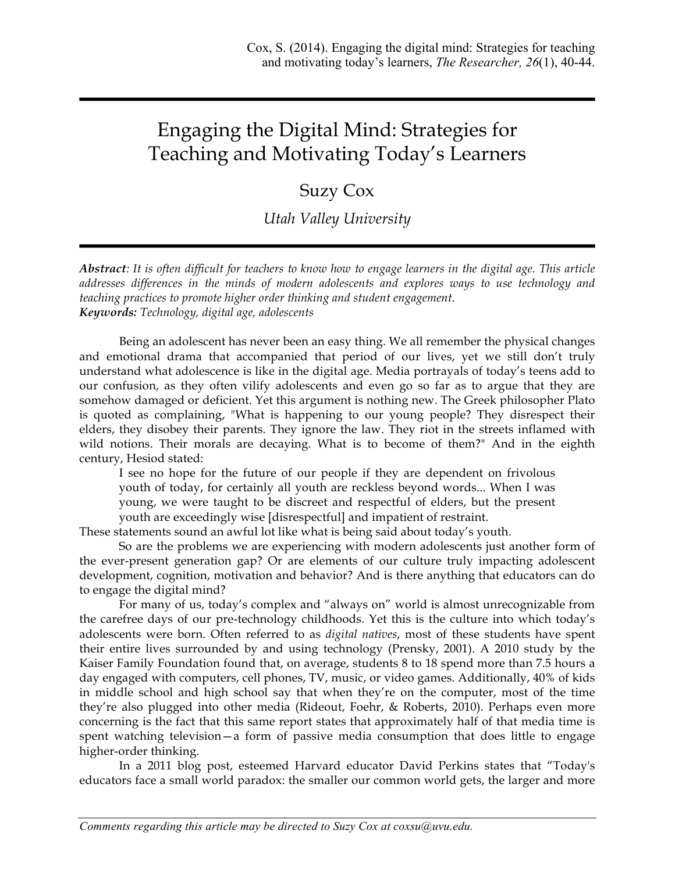# Engaging the Digital Mind: Strategies for Teaching and Motivating Today's Learners

# Suzy Cox

*Utah Valley University*

*Abstract: It is often difficult for teachers to know how to engage learners in the digital age. This article addresses differences in the minds of modern adolescents and explores ways to use technology and teaching practices to promote higher order thinking and student engagement. Keywords: Technology, digital age, adolescents*

Being an adolescent has never been an easy thing. We all remember the physical changes and emotional drama that accompanied that period of our lives, yet we still don't truly understand what adolescence is like in the digital age. Media portrayals of today's teens add to our confusion, as they often vilify adolescents and even go so far as to argue that they are somehow damaged or deficient. Yet this argument is nothing new. The Greek philosopher Plato is quoted as complaining, "What is happening to our young people? They disrespect their elders, they disobey their parents. They ignore the law. They riot in the streets inflamed with wild notions. Their morals are decaying. What is to become of them?" And in the eighth century, Hesiod stated:

I see no hope for the future of our people if they are dependent on frivolous youth of today, for certainly all youth are reckless beyond words... When I was young, we were taught to be discreet and respectful of elders, but the present youth are exceedingly wise [disrespectful] and impatient of restraint.

These statements sound an awful lot like what is being said about today's youth.

So are the problems we are experiencing with modern adolescents just another form of the ever-present generation gap? Or are elements of our culture truly impacting adolescent development, cognition, motivation and behavior? And is there anything that educators can do to engage the digital mind?

For many of us, today's complex and "always on" world is almost unrecognizable from the carefree days of our pre-technology childhoods. Yet this is the culture into which today's adolescents were born. Often referred to as *digital natives*, most of these students have spent their entire lives surrounded by and using technology (Prensky, 2001). A 2010 study by the Kaiser Family Foundation found that, on average, students 8 to 18 spend more than 7.5 hours a day engaged with computers, cell phones, TV, music, or video games. Additionally, 40% of kids in middle school and high school say that when they're on the computer, most of the time they're also plugged into other media (Rideout, Foehr, & Roberts, 2010). Perhaps even more concerning is the fact that this same report states that approximately half of that media time is spent watching television—a form of passive media consumption that does little to engage higher-order thinking.

In a 2011 blog post, esteemed Harvard educator David Perkins states that "Today's educators face a small world paradox: the smaller our common world gets, the larger and more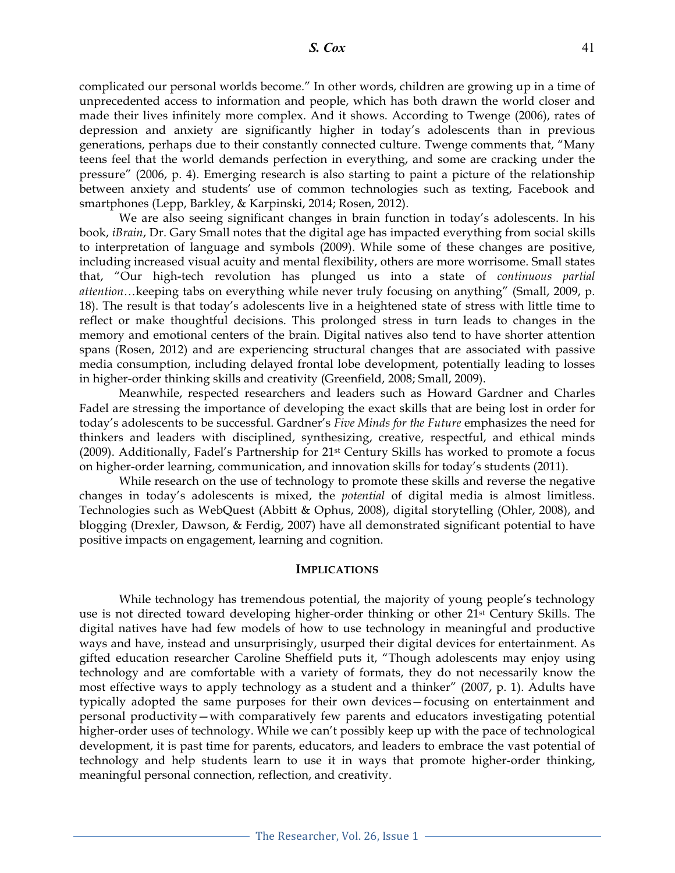complicated our personal worlds become." In other words, children are growing up in a time of unprecedented access to information and people, which has both drawn the world closer and made their lives infinitely more complex. And it shows. According to Twenge (2006), rates of depression and anxiety are significantly higher in today's adolescents than in previous generations, perhaps due to their constantly connected culture. Twenge comments that, "Many teens feel that the world demands perfection in everything, and some are cracking under the pressure" (2006, p. 4). Emerging research is also starting to paint a picture of the relationship between anxiety and students' use of common technologies such as texting, Facebook and smartphones (Lepp, Barkley, & Karpinski, 2014; Rosen, 2012).

We are also seeing significant changes in brain function in today's adolescents. In his book, *iBrain*, Dr. Gary Small notes that the digital age has impacted everything from social skills to interpretation of language and symbols (2009). While some of these changes are positive, including increased visual acuity and mental flexibility, others are more worrisome. Small states that, "Our high-tech revolution has plunged us into a state of *continuous partial attention*…keeping tabs on everything while never truly focusing on anything" (Small, 2009, p. 18). The result is that today's adolescents live in a heightened state of stress with little time to reflect or make thoughtful decisions. This prolonged stress in turn leads to changes in the memory and emotional centers of the brain. Digital natives also tend to have shorter attention spans (Rosen, 2012) and are experiencing structural changes that are associated with passive media consumption, including delayed frontal lobe development, potentially leading to losses in higher-order thinking skills and creativity (Greenfield, 2008; Small, 2009).

Meanwhile, respected researchers and leaders such as Howard Gardner and Charles Fadel are stressing the importance of developing the exact skills that are being lost in order for today's adolescents to be successful. Gardner's *Five Minds for the Future* emphasizes the need for thinkers and leaders with disciplined, synthesizing, creative, respectful, and ethical minds  $(2009)$ . Additionally, Fadel's Partnership for  $21<sup>st</sup>$  Century Skills has worked to promote a focus on higher-order learning, communication, and innovation skills for today's students (2011).

While research on the use of technology to promote these skills and reverse the negative changes in today's adolescents is mixed, the *potential* of digital media is almost limitless. Technologies such as WebQuest (Abbitt & Ophus, 2008), digital storytelling (Ohler, 2008), and blogging (Drexler, Dawson, & Ferdig, 2007) have all demonstrated significant potential to have positive impacts on engagement, learning and cognition.

#### **IMPLICATIONS**

While technology has tremendous potential, the majority of young people's technology use is not directed toward developing higher-order thinking or other 21st Century Skills. The digital natives have had few models of how to use technology in meaningful and productive ways and have, instead and unsurprisingly, usurped their digital devices for entertainment. As gifted education researcher Caroline Sheffield puts it, "Though adolescents may enjoy using technology and are comfortable with a variety of formats, they do not necessarily know the most effective ways to apply technology as a student and a thinker" (2007, p. 1). Adults have typically adopted the same purposes for their own devices—focusing on entertainment and personal productivity—with comparatively few parents and educators investigating potential higher-order uses of technology. While we can't possibly keep up with the pace of technological development, it is past time for parents, educators, and leaders to embrace the vast potential of technology and help students learn to use it in ways that promote higher-order thinking, meaningful personal connection, reflection, and creativity.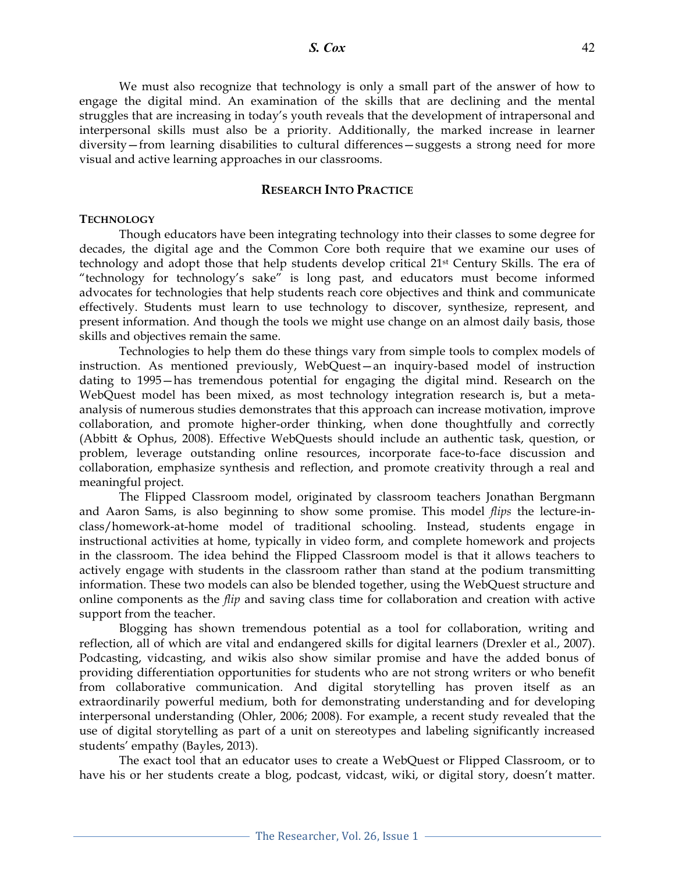We must also recognize that technology is only a small part of the answer of how to engage the digital mind. An examination of the skills that are declining and the mental struggles that are increasing in today's youth reveals that the development of intrapersonal and interpersonal skills must also be a priority. Additionally, the marked increase in learner diversity—from learning disabilities to cultural differences—suggests a strong need for more visual and active learning approaches in our classrooms.

## **RESEARCH INTO PRACTICE**

#### **TECHNOLOGY**

Though educators have been integrating technology into their classes to some degree for decades, the digital age and the Common Core both require that we examine our uses of technology and adopt those that help students develop critical 21st Century Skills. The era of "technology for technology's sake" is long past, and educators must become informed advocates for technologies that help students reach core objectives and think and communicate effectively. Students must learn to use technology to discover, synthesize, represent, and present information. And though the tools we might use change on an almost daily basis, those skills and objectives remain the same.

Technologies to help them do these things vary from simple tools to complex models of instruction. As mentioned previously, WebQuest—an inquiry-based model of instruction dating to 1995—has tremendous potential for engaging the digital mind. Research on the WebQuest model has been mixed, as most technology integration research is, but a metaanalysis of numerous studies demonstrates that this approach can increase motivation, improve collaboration, and promote higher-order thinking, when done thoughtfully and correctly (Abbitt & Ophus, 2008). Effective WebQuests should include an authentic task, question, or problem, leverage outstanding online resources, incorporate face-to-face discussion and collaboration, emphasize synthesis and reflection, and promote creativity through a real and meaningful project.

The Flipped Classroom model, originated by classroom teachers Jonathan Bergmann and Aaron Sams, is also beginning to show some promise. This model *flips* the lecture-inclass/homework-at-home model of traditional schooling. Instead, students engage in instructional activities at home, typically in video form, and complete homework and projects in the classroom. The idea behind the Flipped Classroom model is that it allows teachers to actively engage with students in the classroom rather than stand at the podium transmitting information. These two models can also be blended together, using the WebQuest structure and online components as the *flip* and saving class time for collaboration and creation with active support from the teacher.

Blogging has shown tremendous potential as a tool for collaboration, writing and reflection, all of which are vital and endangered skills for digital learners (Drexler et al., 2007). Podcasting, vidcasting, and wikis also show similar promise and have the added bonus of providing differentiation opportunities for students who are not strong writers or who benefit from collaborative communication. And digital storytelling has proven itself as an extraordinarily powerful medium, both for demonstrating understanding and for developing interpersonal understanding (Ohler, 2006; 2008). For example, a recent study revealed that the use of digital storytelling as part of a unit on stereotypes and labeling significantly increased students' empathy (Bayles, 2013).

The exact tool that an educator uses to create a WebQuest or Flipped Classroom, or to have his or her students create a blog, podcast, vidcast, wiki, or digital story, doesn't matter.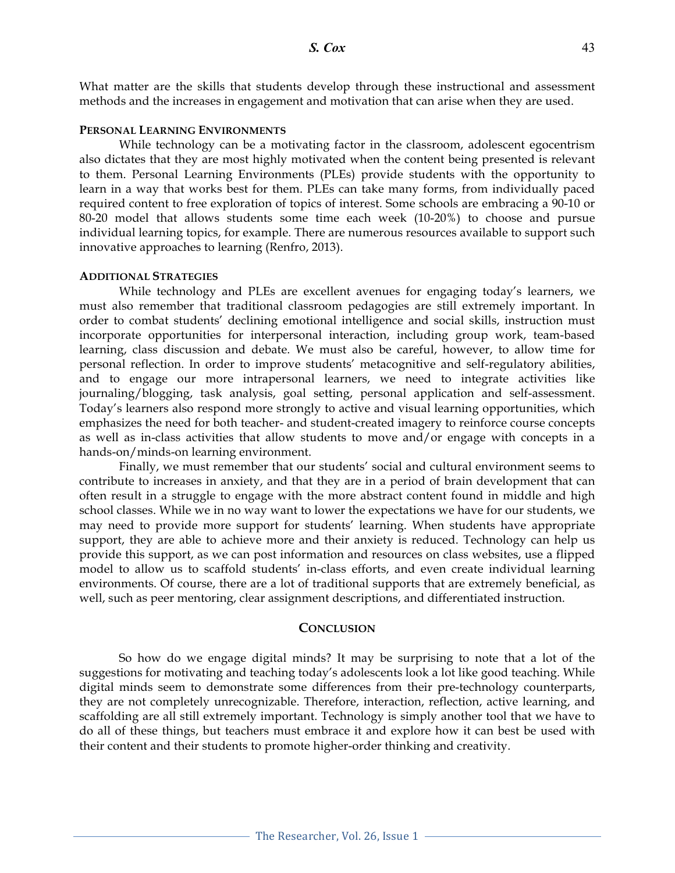What matter are the skills that students develop through these instructional and assessment methods and the increases in engagement and motivation that can arise when they are used.

### **PERSONAL LEARNING ENVIRONMENTS**

While technology can be a motivating factor in the classroom, adolescent egocentrism also dictates that they are most highly motivated when the content being presented is relevant to them. Personal Learning Environments (PLEs) provide students with the opportunity to learn in a way that works best for them. PLEs can take many forms, from individually paced required content to free exploration of topics of interest. Some schools are embracing a 90-10 or 80-20 model that allows students some time each week (10-20%) to choose and pursue individual learning topics, for example. There are numerous resources available to support such innovative approaches to learning (Renfro, 2013).

# **ADDITIONAL STRATEGIES**

While technology and PLEs are excellent avenues for engaging today's learners, we must also remember that traditional classroom pedagogies are still extremely important. In order to combat students' declining emotional intelligence and social skills, instruction must incorporate opportunities for interpersonal interaction, including group work, team-based learning, class discussion and debate. We must also be careful, however, to allow time for personal reflection. In order to improve students' metacognitive and self-regulatory abilities, and to engage our more intrapersonal learners, we need to integrate activities like journaling/blogging, task analysis, goal setting, personal application and self-assessment. Today's learners also respond more strongly to active and visual learning opportunities, which emphasizes the need for both teacher- and student-created imagery to reinforce course concepts as well as in-class activities that allow students to move and/or engage with concepts in a hands-on/minds-on learning environment.

Finally, we must remember that our students' social and cultural environment seems to contribute to increases in anxiety, and that they are in a period of brain development that can often result in a struggle to engage with the more abstract content found in middle and high school classes. While we in no way want to lower the expectations we have for our students, we may need to provide more support for students' learning. When students have appropriate support, they are able to achieve more and their anxiety is reduced. Technology can help us provide this support, as we can post information and resources on class websites, use a flipped model to allow us to scaffold students' in-class efforts, and even create individual learning environments. Of course, there are a lot of traditional supports that are extremely beneficial, as well, such as peer mentoring, clear assignment descriptions, and differentiated instruction.

# **CONCLUSION**

So how do we engage digital minds? It may be surprising to note that a lot of the suggestions for motivating and teaching today's adolescents look a lot like good teaching. While digital minds seem to demonstrate some differences from their pre-technology counterparts, they are not completely unrecognizable. Therefore, interaction, reflection, active learning, and scaffolding are all still extremely important. Technology is simply another tool that we have to do all of these things, but teachers must embrace it and explore how it can best be used with their content and their students to promote higher-order thinking and creativity.